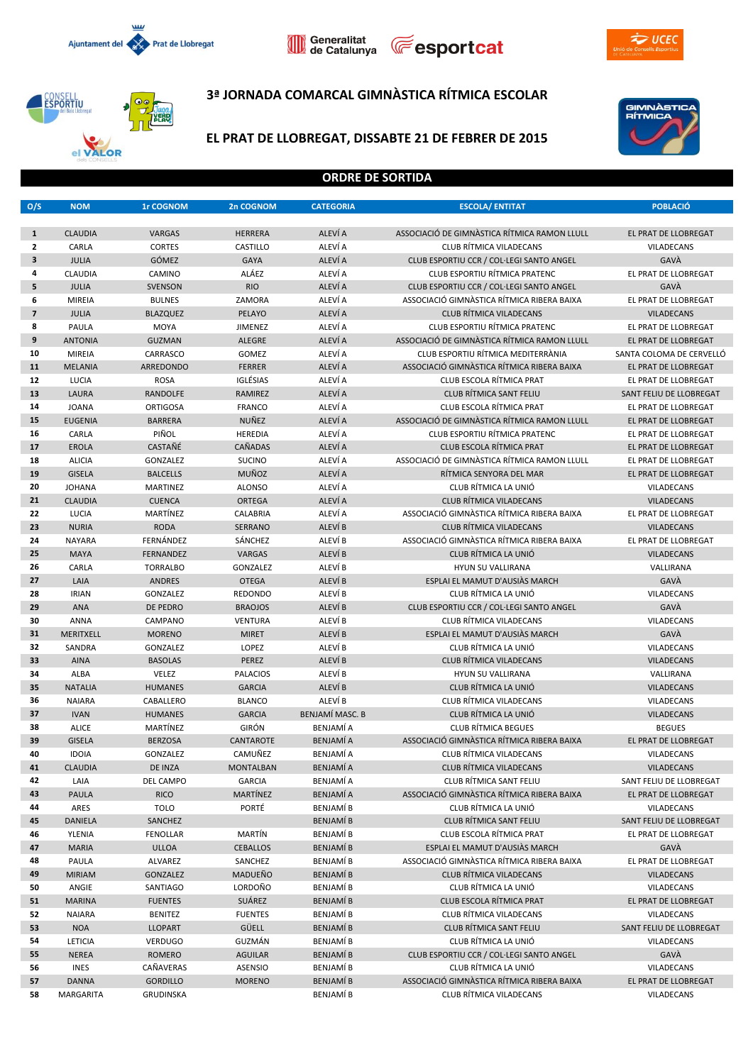







## **3ª JORNADA COMARCAL GIMNÀSTICA RÍTMICA ESCOLAR**



## **EL PRAT DE LLOBREGAT, DISSABTE 21 DE FEBRER DE 2015**



#### **ORDRE DE SORTIDA**

| O/S                     | <b>NOM</b>          | <b>1r COGNOM</b>        | 2n COGNOM                | <b>CATEGORIA</b>       | <b>ESCOLA/ ENTITAT</b>                                     | <b>POBLACIÓ</b>                |
|-------------------------|---------------------|-------------------------|--------------------------|------------------------|------------------------------------------------------------|--------------------------------|
|                         |                     |                         |                          |                        |                                                            |                                |
| $\mathbf{1}$            | <b>CLAUDIA</b>      | <b>VARGAS</b>           | <b>HERRERA</b>           | ALEVÍ A                | ASSOCIACIÓ DE GIMNÀSTICA RÍTMICA RAMON LLULL               | EL PRAT DE LLOBREGAT           |
| $\mathbf{2}$            | CARLA               | <b>CORTES</b>           | CASTILLO                 | ALEVÍ A                | <b>CLUB RÍTMICA VILADECANS</b>                             | VILADECANS                     |
| $\overline{\mathbf{3}}$ | <b>JULIA</b>        | GÓMEZ                   | <b>GAYA</b>              | ALEVÍ A                | CLUB ESPORTIU CCR / COL·LEGI SANTO ANGEL                   | GAVÀ                           |
| 4                       | <b>CLAUDIA</b>      | CAMINO                  | ALÁEZ                    | ALEVÍ A                | <b>CLUB ESPORTIU RÍTMICA PRATENC</b>                       | EL PRAT DE LLOBREGAT           |
| 5                       | <b>JULIA</b>        | <b>SVENSON</b>          | <b>RIO</b>               | ALEVÍ A                | CLUB ESPORTIU CCR / COL·LEGI SANTO ANGEL                   | GAVÀ                           |
| 6                       | <b>MIREIA</b>       | <b>BULNES</b>           | ZAMORA                   | ALEVÍ A                | ASSOCIACIÓ GIMNÀSTICA RÍTMICA RIBERA BAIXA                 | EL PRAT DE LLOBREGAT           |
| $\overline{7}$          | <b>JULIA</b>        | <b>BLAZQUEZ</b>         | PELAYO                   | ALEVÍ A                | <b>CLUB RÍTMICA VILADECANS</b>                             | <b>VILADECANS</b>              |
| 8                       | PAULA               | <b>MOYA</b>             | JIMENEZ                  | ALEVÍ A                | <b>CLUB ESPORTIU RÍTMICA PRATENC</b>                       | EL PRAT DE LLOBREGAT           |
| 9                       | <b>ANTONIA</b>      | <b>GUZMAN</b>           | <b>ALEGRE</b>            | ALEVÍ A                | ASSOCIACIÓ DE GIMNASTICA RÍTMICA RAMON LLULL               | EL PRAT DE LLOBREGAT           |
| 10                      | <b>MIREIA</b>       | CARRASCO                | GOMEZ                    | ALEVÍ A                | CLUB ESPORTIU RÍTMICA MEDITERRÀNIA                         | SANTA COLOMA DE CERVELLÓ       |
| 11                      | <b>MELANIA</b>      | ARREDONDO               | <b>FERRER</b>            | ALEVÍ A                | ASSOCIACIÓ GIMNÀSTICA RÍTMICA RIBERA BAIXA                 | EL PRAT DE LLOBREGAT           |
| 12                      | LUCIA               | <b>ROSA</b>             | IGLÉSIAS                 | ALEVÍ A                | CLUB ESCOLA RÍTMICA PRAT                                   | EL PRAT DE LLOBREGAT           |
| 13                      | <b>LAURA</b>        | <b>RANDOLFE</b>         | <b>RAMIREZ</b>           | ALEVÍ A                | CLUB RÍTMICA SANT FELIU                                    | SANT FELIU DE LLOBREGAT        |
| 14                      | <b>JOANA</b>        | <b>ORTIGOSA</b>         | <b>FRANCO</b>            | ALEVÍ A                | CLUB ESCOLA RÍTMICA PRAT                                   | EL PRAT DE LLOBREGAT           |
| 15                      | <b>EUGENIA</b>      | <b>BARRERA</b>          | NUÑEZ                    | ALEVÍ A                | ASSOCIACIÓ DE GIMNASTICA RÍTMICA RAMON LLULL               | <b>EL PRAT DE LLOBREGAT</b>    |
| 16                      | CARLA               | PIÑOL                   | HEREDIA                  | ALEVÍ A                | CLUB ESPORTIU RÍTMICA PRATENC                              | EL PRAT DE LLOBREGAT           |
| 17                      | <b>EROLA</b>        | <b>CASTAÑÉ</b>          | <b>CAÑADAS</b>           | ALEVÍ A                | CLUB ESCOLA RÍTMICA PRAT                                   | EL PRAT DE LLOBREGAT           |
| 18                      | <b>ALICIA</b>       | GONZALEZ                | <b>SUCINO</b>            | ALEVÍ A                | ASSOCIACIÓ DE GIMNASTICA RÍTMICA RAMON LLULL               | EL PRAT DE LLOBREGAT           |
| 19                      | <b>GISELA</b>       | <b>BALCELLS</b>         | <b>MUÑOZ</b>             | ALEVÍ A                | RÍTMICA SENYORA DEL MAR                                    | EL PRAT DE LLOBREGAT           |
| 20                      | <b>JOHANA</b>       | <b>MARTINEZ</b>         | <b>ALONSO</b>            | ALEVÍ A                | CLUB RÍTMICA LA UNIÓ                                       | VILADECANS                     |
| 21                      | <b>CLAUDIA</b>      | <b>CUENCA</b>           | <b>ORTEGA</b>            | ALEVÍ A                | CLUB RÍTMICA VILADECANS                                    | <b>VILADECANS</b>              |
| 22                      | LUCIA               | MARTÍNEZ                | <b>CALABRIA</b>          | ALEVÍ A                | ASSOCIACIÓ GIMNÀSTICA RÍTMICA RIBERA BAIXA                 | EL PRAT DE LLOBREGAT           |
| 23                      | <b>NURIA</b>        | <b>RODA</b>             | <b>SERRANO</b>           | ALEVÍ B                | <b>CLUB RÍTMICA VILADECANS</b>                             | <b>VILADECANS</b>              |
| 24                      | <b>NAYARA</b>       | FERNÁNDEZ               | SÁNCHEZ                  | ALEVÍ B                | ASSOCIACIÓ GIMNÀSTICA RÍTMICA RIBERA BAIXA                 | EL PRAT DE LLOBREGAT           |
| 25                      | <b>MAYA</b>         | FERNANDEZ               | VARGAS                   | ALEVÍ B                | CLUB RÍTMICA LA UNIÓ                                       | <b>VILADECANS</b>              |
| 26                      | CARLA               | <b>TORRALBO</b>         | GONZALEZ                 | ALEVÍ B                | <b>HYUN SU VALLIRANA</b>                                   | VALLIRANA                      |
| 27                      | LAIA                | <b>ANDRES</b>           | <b>OTEGA</b>             | ALEVÍ B                | ESPLAI EL MAMUT D'AUSIÀS MARCH                             | GAVÀ                           |
| 28                      | <b>IRIAN</b>        | GONZALEZ                | REDONDO                  | ALEVÍ B                | CLUB RÍTMICA LA UNIÓ                                       | VILADECANS                     |
| 29                      | <b>ANA</b>          | DE PEDRO                | <b>BRAOJOS</b>           | ALEVÍ B                | CLUB ESPORTIU CCR / COL·LEGI SANTO ANGEL                   | GAVÀ                           |
| 30                      | <b>ANNA</b>         | CAMPANO                 | <b>VENTURA</b>           | ALEVÍ B                | <b>CLUB RÍTMICA VILADECANS</b>                             | VILADECANS                     |
| 31<br>32                | <b>MERITXELL</b>    | <b>MORENO</b>           | <b>MIRET</b>             | ALEVÍ B                | ESPLAI EL MAMUT D'AUSIÀS MARCH                             | GAVÀ                           |
| 33                      | SANDRA              | GONZALEZ                | LOPEZ                    | ALEVÍ B<br>ALEVÍ B     | CLUB RÍTMICA LA UNIÓ                                       | VILADECANS                     |
| 34                      | <b>AINA</b><br>ALBA | <b>BASOLAS</b><br>VELEZ | PEREZ<br><b>PALACIOS</b> | ALEVÍ B                | <b>CLUB RÍTMICA VILADECANS</b><br><b>HYUN SU VALLIRANA</b> | <b>VILADECANS</b><br>VALLIRANA |
| 35                      | <b>NATALIA</b>      | <b>HUMANES</b>          | <b>GARCIA</b>            | ALEVÍ B                | CLUB RÍTMICA LA UNIÓ                                       | <b>VILADECANS</b>              |
| 36                      | <b>NAIARA</b>       | CABALLERO               | <b>BLANCO</b>            | ALEVÍ B                | <b>CLUB RÍTMICA VILADECANS</b>                             | VILADECANS                     |
| 37                      | <b>IVAN</b>         | <b>HUMANES</b>          | <b>GARCIA</b>            | <b>BENJAMÍ MASC. B</b> | CLUB RÍTMICA LA UNIÓ                                       | <b>VILADECANS</b>              |
| 38                      | <b>ALICE</b>        | MARTÍNEZ                | <b>GIRÓN</b>             | <b>BENJAMÍ A</b>       | <b>CLUB RÍTMICA BEGUES</b>                                 | <b>BEGUES</b>                  |
| 39                      | <b>GISELA</b>       | <b>BERZOSA</b>          | <b>CANTAROTE</b>         | <b>BENJAMÍA</b>        | ASSOCIACIÓ GIMNÀSTICA RÍTMICA RIBERA BAIXA                 | EL PRAT DE LLOBREGAT           |
| 40                      | <b>IDOIA</b>        | <b>GONZALEZ</b>         | CAMUÑEZ                  | BENJAMÍ A              | <b>CLUB RÍTMICA VILADECANS</b>                             | <b>VILADECANS</b>              |
| 41                      | <b>CLAUDIA</b>      | DE INZA                 | <b>MONTALBAN</b>         | <b>BENJAMÍ A</b>       | CLUB RÍTMICA VILADECANS                                    | <b>VILADECANS</b>              |
| 42                      | LAIA                | DEL CAMPO               | <b>GARCIA</b>            | BENJAMÍ A              | CLUB RÍTMICA SANT FELIU                                    | SANT FELIU DE LLOBREGAT        |
| 43                      | PAULA               | <b>RICO</b>             | MARTÍNEZ                 | <b>BENJAMÍA</b>        | ASSOCIACIÓ GIMNÀSTICA RÍTMICA RIBERA BAIXA                 | EL PRAT DE LLOBREGAT           |
| 44                      | ARES                | <b>TOLO</b>             | PORTÉ                    | BENJAMÍ B              | CLUB RÍTMICA LA UNIÓ                                       | VILADECANS                     |
| 45                      | <b>DANIELA</b>      | SANCHEZ                 |                          | <b>BENJAMÍ B</b>       | <b>CLUB RÍTMICA SANT FELIU</b>                             | SANT FELIU DE LLOBREGAT        |
| 46                      | YLENIA              | <b>FENOLLAR</b>         | MARTÍN                   | BENJAMÍ B              | CLUB ESCOLA RÍTMICA PRAT                                   | EL PRAT DE LLOBREGAT           |
| 47                      | <b>MARIA</b>        | <b>ULLOA</b>            | <b>CEBALLOS</b>          | <b>BENJAMÍ B</b>       | ESPLAI EL MAMUT D'AUSIÀS MARCH                             | GAVÀ                           |
| 48                      | PAULA               | ALVAREZ                 | SANCHEZ                  | BENJAMÍ B              | ASSOCIACIÓ GIMNÀSTICA RÍTMICA RIBERA BAIXA                 | EL PRAT DE LLOBREGAT           |
| 49                      | <b>MIRIAM</b>       | <b>GONZALEZ</b>         | <b>MADUEÑO</b>           | <b>BENJAMÍ B</b>       | <b>CLUB RÍTMICA VILADECANS</b>                             | <b>VILADECANS</b>              |
| 50                      | ANGIE               | SANTIAGO                | LORDOÑO                  | BENJAMÍ B              | CLUB RÍTMICA LA UNIÓ                                       | VILADECANS                     |
| 51                      | <b>MARINA</b>       | <b>FUENTES</b>          | SUÁREZ                   | <b>BENJAMÍ B</b>       | CLUB ESCOLA RÍTMICA PRAT                                   | EL PRAT DE LLOBREGAT           |
| 52                      | <b>NAIARA</b>       | <b>BENITEZ</b>          | <b>FUENTES</b>           | BENJAMÍ B              | CLUB RÍTMICA VILADECANS                                    | VILADECANS                     |
| 53                      | <b>NOA</b>          | <b>LLOPART</b>          | GÜELL                    | <b>BENJAMÍ B</b>       | CLUB RÍTMICA SANT FELIU                                    | SANT FELIU DE LLOBREGAT        |
| 54                      | LETICIA             | <b>VERDUGO</b>          | GUZMÁN                   | BENJAMÍ B              | CLUB RÍTMICA LA UNIÓ                                       | VILADECANS                     |
| 55                      | <b>NEREA</b>        | ROMERO                  | <b>AGUILAR</b>           | <b>BENJAMÍ B</b>       | CLUB ESPORTIU CCR / COL·LEGI SANTO ANGEL                   | GAVÀ                           |
| 56                      | <b>INES</b>         | CAÑAVERAS               | ASENSIO                  | BENJAMÍ B              | CLUB RÍTMICA LA UNIÓ                                       | VILADECANS                     |
| 57                      | <b>DANNA</b>        | <b>GORDILLO</b>         | <b>MORENO</b>            | <b>BENJAMÍ B</b>       | ASSOCIACIÓ GIMNÀSTICA RÍTMICA RIBERA BAIXA                 | EL PRAT DE LLOBREGAT           |
| 58                      | MARGARITA           | GRUDINSKA               |                          | BENJAMÍ B              | CLUB RÍTMICA VILADECANS                                    | VILADECANS                     |
|                         |                     |                         |                          |                        |                                                            |                                |